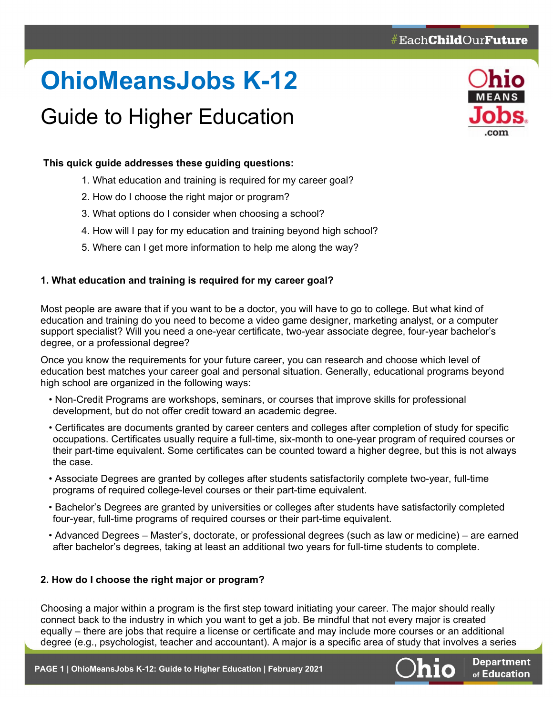# **OhioMeansJobs K-12**

# Guide to Higher Education



# **This quick guide addresses these guiding questions:**

- 1. What education and training is required for my career goal?
- 2. How do I choose the right major or program?
- 3. What options do I consider when choosing a school?
- 4. How will I pay for my education and training beyond high school?
- 5. Where can I get more information to help me along the way?

### **1. What education and training is required for my career goal?**

Most people are aware that if you want to be a doctor, you will have to go to college. But what kind of education and training do you need to become a video game designer, marketing analyst, or a computer support specialist? Will you need a one-year certificate, two-year associate degree, four-year bachelor's degree, or a professional degree?

Once you know the requirements for your future career, you can research and choose which level of education best matches your career goal and personal situation. Generally, educational programs beyond high school are organized in the following ways:

- Non-Credit Programs are workshops, seminars, or courses that improve skills for professional development, but do not offer credit toward an academic degree.
- Certificates are documents granted by career centers and colleges after completion of study for specific occupations. Certificates usually require a full-time, six-month to one-year program of required courses or their part-time equivalent. Some certificates can be counted toward a higher degree, but this is not always the case.
- Associate Degrees are granted by colleges after students satisfactorily complete two-year, full-time programs of required college-level courses or their part-time equivalent.
- Bachelor's Degrees are granted by universities or colleges after students have satisfactorily completed four-year, full-time programs of required courses or their part-time equivalent.
- Advanced Degrees Master's, doctorate, or professional degrees (such as law or medicine) are earned after bachelor's degrees, taking at least an additional two years for full-time students to complete.

# **2. How do I choose the right major or program?**

Choosing a major within a program is the first step toward initiating your career. The major should really connect back to the industry in which you want to get a job. Be mindful that not every major is created equally – there are jobs that require a license or certificate and may include more courses or an additional degree (e.g., psychologist, teacher and accountant). A major is a specific area of study that involves a series

**PAGE 1 | OhioMeansJobs K-12: Guide to Higher Education | February 2021**



**Department** of Education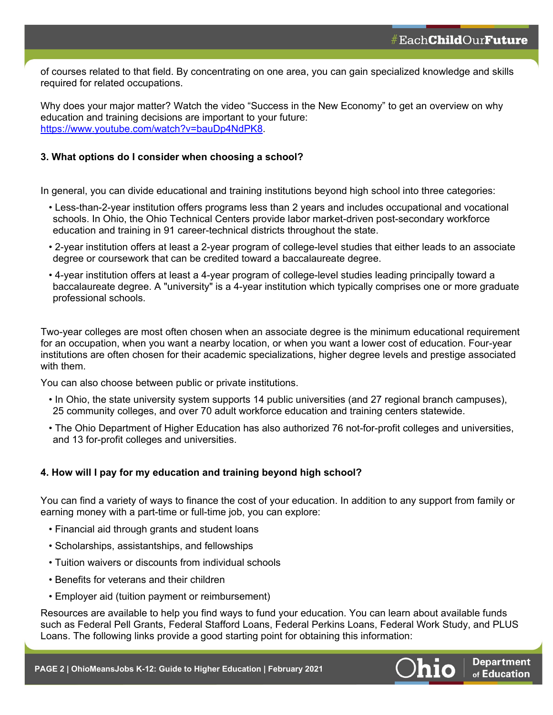**Department** of Education

of courses related to that field. By concentrating on one area, you can gain specialized knowledge and skills required for related occupations.

Why does your major matter? Watch the video "Success in the New Economy" to get an overview on why education and training decisions are important to your future: https://www.youtube.com/watch?v=bauDp4NdPK8.

#### **3. What options do I consider when choosing a school?**

In general, you can divide educational and training institutions beyond high school into three categories:

- Less-than-2-year institution offers programs less than 2 years and includes occupational and vocational schools. In Ohio, the Ohio Technical Centers provide labor market-driven post-secondary workforce education and training in 91 career-technical districts throughout the state.
- 2-year institution offers at least a 2-year program of college-level studies that either leads to an associate degree or coursework that can be credited toward a baccalaureate degree.
- 4-year institution offers at least a 4-year program of college-level studies leading principally toward a baccalaureate degree. A "university" is a 4-year institution which typically comprises one or more graduate professional schools.

Two-year colleges are most often chosen when an associate degree is the minimum educational requirement for an occupation, when you want a nearby location, or when you want a lower cost of education. Four-year institutions are often chosen for their academic specializations, higher degree levels and prestige associated with them.

You can also choose between public or private institutions.

- In Ohio, the state university system supports 14 public universities (and 27 regional branch campuses), 25 community colleges, and over 70 adult workforce education and training centers statewide.
- The Ohio Department of Higher Education has also authorized 76 not-for-profit colleges and universities, and 13 for-profit colleges and universities.

#### **4. How will I pay for my education and training beyond high school?**

You can find a variety of ways to finance the cost of your education. In addition to any support from family or earning money with a part-time or full-time job, you can explore:

- Financial aid through grants and student loans
- Scholarships, assistantships, and fellowships
- Tuition waivers or discounts from individual schools
- Benefits for veterans and their children
- Employer aid (tuition payment or reimbursement)

Resources are available to help you find ways to fund your education. You can learn about available funds such as Federal Pell Grants, Federal Stafford Loans, Federal Perkins Loans, Federal Work Study, and PLUS Loans. The following links provide a good starting point for obtaining this information: